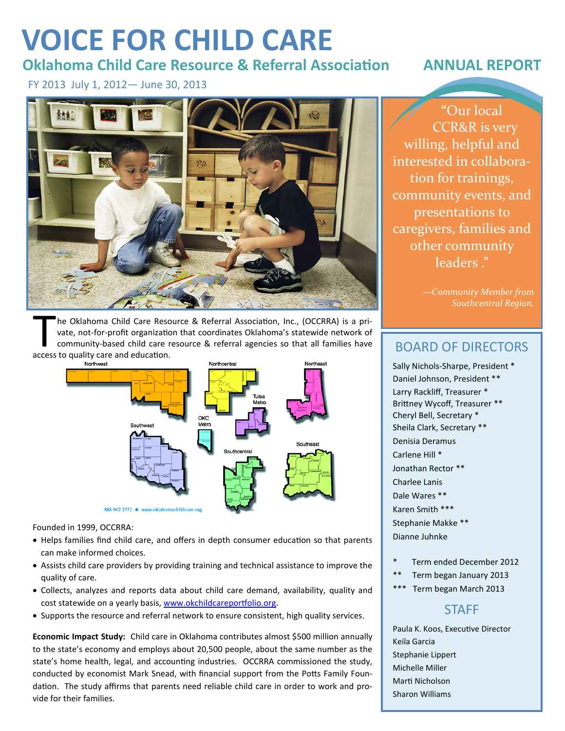# **VOICE FOR CHILD CARE**

## **Oklahoma Child Care Resource & Referral Association ANNUAL REPORT**

FY 2013 July 1, 2012— June 30, 2013



The Oklahoma Child Care Rescouste, not-for-profit organization.<br>
community-based child care recress to quality care and education. he Oklahoma Child Care Resource & Referral Association, Inc., (OCCRRA) is a private, not-for-profit organization that coordinates Oklahoma's statewide network of community-based child care resource & referral agencies so that all families have



Founded in 1999, OCCRRA:

- Helps families find child care, and offers in depth consumer education so that parents can make informed choices.
- Assists child care providers by providing training and technical assistance to improve the quality of care.
- Collects, analyzes and reports data about child care demand, availability, quality and cost statewide on a yearly basis, www.okchildcareportfolio.org.
- Supports the resource and referral network to ensure consistent, high quality services.

**Economic Impact Study:** Child care in Oklahoma contributes almost \$500 million annually to the state's economy and employs about 20,500 people, about the same number as the state's home health, legal, and accounting industries. OCCRRA commissioned the study, conducted by economist Mark Snead, with financial support from the Potts Family Foundation. The study affirms that parents need reliable child care in order to work and provide for their families.

**"**Our local CCR&R is very willing, helpful and interested in collaboration for trainings, community events, and presentations to caregivers, families and other community leaders."

> *—Community Member from Southcentral Region.*

## BOARD OF DIRECTORS

Sally Nichols-Sharpe, President \* Daniel Johnson, President \*\* Larry Rackliff, Treasurer \* Brittney Wycoff, Treasurer \*\* Cheryl Bell, Secretary \* Sheila Clark, Secretary \*\* Denisia Deramus Carlene Hill \* Jonathan Rector \*\* Charlee Lanis Dale Wares \*\* Karen Smith \*\*\* Stephanie Makke \*\* Dianne Juhnke

- Term ended December 2012
- \*\* Term began January 2013
- Term began March 2013

### **STAFF**

Paula K. Koos, Executive Director Keila Garcia Stephanie Lippert Michelle Miller Marti Nicholson Sharon Williams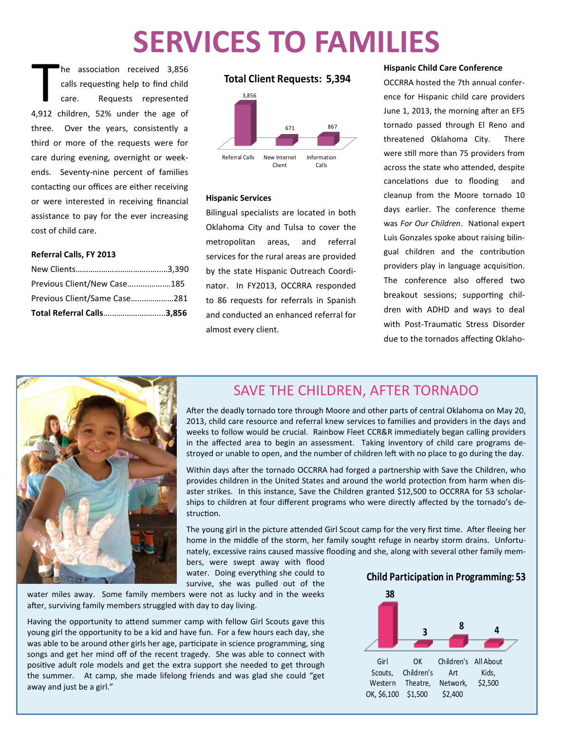# **SERVICES TO FAMILIES**

The association received 3,856<br>
calls requesting help to find child<br>
care. Requests represented<br>
4,912 children, 52% under the age of he association received 3,856 calls requesting help to find child care. Requests represented three. Over the years, consistently a third or more of the requests were for care during evening, overnight or weekends. Seventy-nine percent of families contacting our offices are either receiving or were interested in receiving financial assistance to pay for the ever increasing cost of child care.

### **Referral Calls, FY 2013**

| Total Referral Calls3,856    |  |
|------------------------------|--|
| Previous Client/Same Case281 |  |
| Previous Client/New Case185  |  |
|                              |  |

### **Total Client Requests: 5,394**



### **Hispanic Services**

Bilingual specialists are located in both Oklahoma City and Tulsa to cover the metropolitan areas, and referral services for the rural areas are provided by the state Hispanic Outreach Coordinator. In FY2013, OCCRRA responded to 86 requests for referrals in Spanish and conducted an enhanced referral for almost every client.

### **Hispanic Child Care Conference**

OCCRRA hosted the 7th annual conference for Hispanic child care providers June 1, 2013, the morning after an EF5 tornado passed through El Reno and threatened Oklahoma City. There were still more than 75 providers from across the state who attended, despite cancelations due to flooding and cleanup from the Moore tornado 10 days earlier. The conference theme was *For Our Children*. National expert Luis Gonzales spoke about raising bilingual children and the contribution providers play in language acquisition. The conference also offered two breakout sessions; supporting children with ADHD and ways to deal with Post-Traumatic Stress Disorder due to the tornados affecting Oklaho-



### SAVE THE CHILDREN, AFTER TORNADO

After the deadly tornado tore through Moore and other parts of central Oklahoma on May 20, 2013, child care resource and referral knew services to families and providers in the days and weeks to follow would be crucial. Rainbow Fleet CCR&R immediately began calling providers in the affected area to begin an assessment. Taking inventory of child care programs destroyed or unable to open, and the number of children left with no place to go during the day.

Within days after the tornado OCCRRA had forged a partnership with Save the Children, who provides children in the United States and around the world protection from harm when disaster strikes. In this instance, Save the Children granted \$12,500 to OCCRRA for 53 scholarships to children at four different programs who were directly affected by the tornado's destruction.

The young girl in the picture attended Girl Scout camp for the very first time. After fleeing her home in the middle of the storm, her family sought refuge in nearby storm drains. Unfortunately, excessive rains caused massive flooding and she, along with several other family mem-

bers, were swept away with flood water. Doing everything she could to survive, she was pulled out of the

water miles away. Some family members were not as lucky and in the weeks after, surviving family members struggled with day to day living.

Having the opportunity to attend summer camp with fellow Girl Scouts gave this young girl the opportunity to be a kid and have fun. For a few hours each day, she was able to be around other girls her age, participate in science programming, sing songs and get her mind off of the recent tragedy. She was able to connect with positive adult role models and get the extra support she needed to get through the summer. At camp, she made lifelong friends and was glad she could "get away and just be a girl."

**Child Participation in Programming: 53**

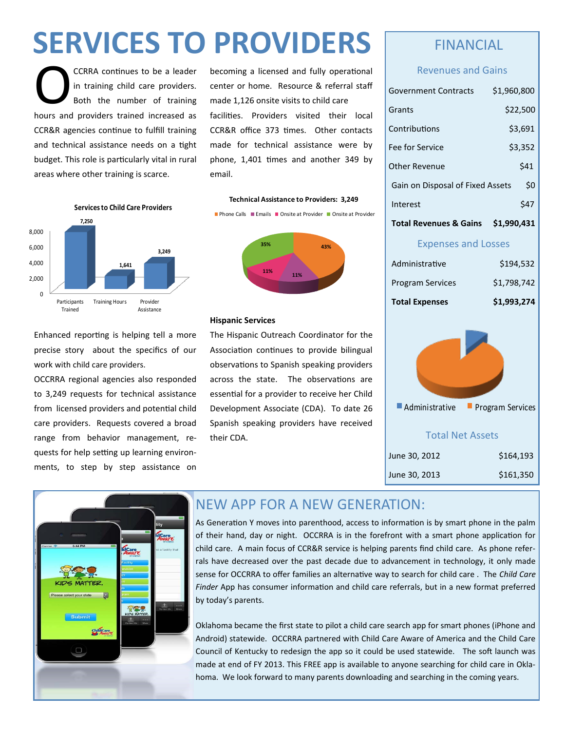# **SERVICES TO PROVIDERS**

CCRRA continues to be a leader<br>in training child care providers.<br>Both the number of training<br>hours and providers trained increased as CCRRA continues to be a leader in training child care providers. Both the number of training CCR&R agencies continue to fulfill training and technical assistance needs on a tight budget. This role is particularly vital in rural areas where other training is scarce.

becoming a licensed and fully operational center or home. Resource & referral staff made 1,126 onsite visits to child care facilities. Providers visited their local CCR&R office 373 times. Other contacts made for technical assistance were by phone, 1,401 times and another 349 by email.



**Technical Assistance to Providers: 3,249 Phone Calls Emails Donsite at Provider Donsite at Provider** 



### **Hispanic Services**

Enhanced reporting is helping tell a more precise story about the specifics of our work with child care providers.

OCCRRA regional agencies also responded to 3,249 requests for technical assistance from licensed providers and potential child care providers. Requests covered a broad range from behavior management, requests for help setting up learning environments, to step by step assistance on

The Hispanic Outreach Coordinator for the Association continues to provide bilingual observations to Spanish speaking providers across the state. The observations are essential for a provider to receive her Child Development Associate (CDA). To date 26 Spanish speaking providers have received their CDA.

### FINANCIAL

### Revenues and Gains

| Government Contracts              | \$1,960,800 |
|-----------------------------------|-------------|
| Grants                            | \$22,500    |
| Contributions                     | \$3,691     |
| Fee for Service                   | \$3,352     |
| Other Revenue                     | \$41        |
| Gain on Disposal of Fixed Assets  | \$0         |
| Interest                          | S47         |
| <b>Total Revenues &amp; Gains</b> | \$1,990,431 |

### Expenses and Losses

| <b>Total Expenses</b>   | \$1,993,274 |
|-------------------------|-------------|
| <b>Program Services</b> | \$1.798.742 |
| Administrative          | \$194.532   |



| \$164,193<br>June 30, 2012 |
|----------------------------|
| \$161,350<br>June 30, 2013 |
|                            |



## NEW APP FOR A NEW GENERATION:

As Generation Y moves into parenthood, access to information is by smart phone in the palm of their hand, day or night. OCCRRA is in the forefront with a smart phone application for child care. A main focus of CCR&R service is helping parents find child care. As phone referrals have decreased over the past decade due to advancement in technology, it only made sense for OCCRRA to offer families an alternative way to search for child care . The *Child Care Finder* App has consumer information and child care referrals, but in a new format preferred by today's parents.

Oklahoma became the first state to pilot a child care search app for smart phones (iPhone and Android) statewide. OCCRRA partnered with Child Care Aware of America and the Child Care Council of Kentucky to redesign the app so it could be used statewide. The soft launch was made at end of FY 2013. This FREE app is available to anyone searching for child care in Oklahoma. We look forward to many parents downloading and searching in the coming years.